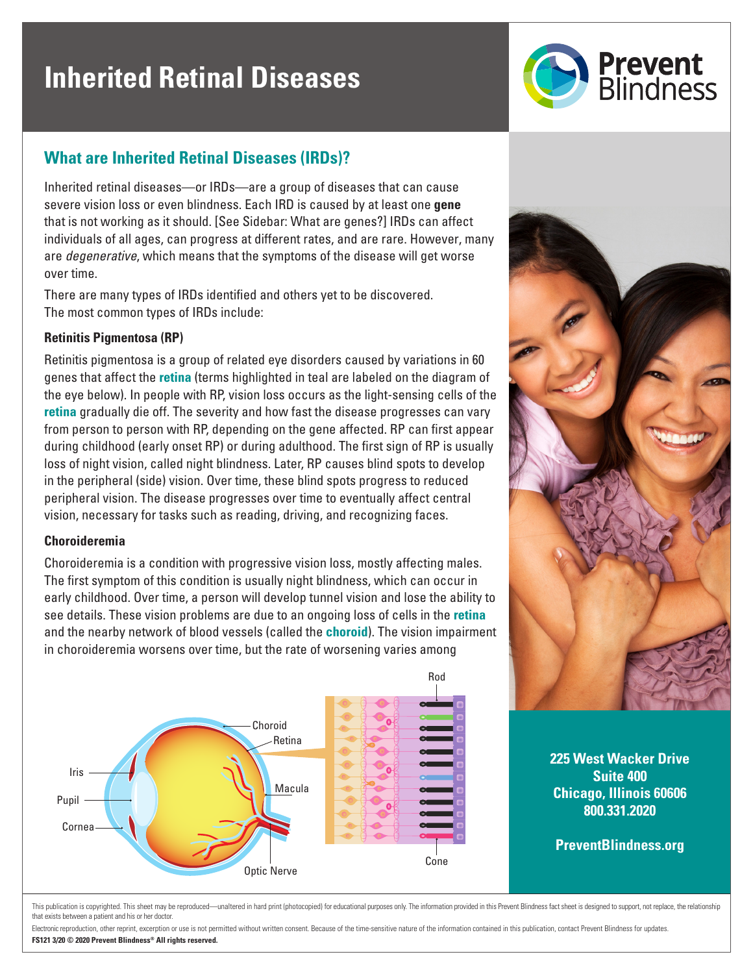# **Inherited Retinal Diseases**



## **What are Inherited Retinal Diseases (IRDs)?**

Inherited retinal diseases—or IRDs—are a group of diseases that can cause severe vision loss or even blindness. Each IRD is caused by at least one **gene** that is not working as it should. [See Sidebar: What are genes?] IRDs can affect individuals of all ages, can progress at different rates, and are rare. However, many are *degenerative*, which means that the symptoms of the disease will get worse over time.

There are many types of IRDs identified and others yet to be discovered. The most common types of IRDs include:

#### **Retinitis Pigmentosa (RP)**

Retinitis pigmentosa is a group of related eye disorders caused by variations in 60 genes that affect the **retina** (terms highlighted in teal are labeled on the diagram of the eye below). In people with RP, vision loss occurs as the light-sensing cells of the **retina** gradually die off. The severity and how fast the disease progresses can vary from person to person with RP, depending on the gene affected. RP can first appear during childhood (early onset RP) or during adulthood. The first sign of RP is usually loss of night vision, called night blindness. Later, RP causes blind spots to develop in the peripheral (side) vision. Over time, these blind spots progress to reduced peripheral vision. The disease progresses over time to eventually affect central vision, necessary for tasks such as reading, driving, and recognizing faces.

#### **Choroideremia**

Choroideremia is a condition with progressive vision loss, mostly affecting males. The first symptom of this condition is usually night blindness, which can occur in early childhood. Over time, a person will develop tunnel vision and lose the ability to see details. These vision problems are due to an ongoing loss of cells in the **retina** and the nearby network of blood vessels (called the **choroid**). The vision impairment in choroideremia worsens over time, but the rate of worsening varies among





**225 West Wacker Drive Suite 400 Chicago, Illinois 60606 800.331.2020**

**PreventBlindness.org**

This publication is convigibled. This sheet may be reproduced—unaltered in bard print (photocopied) for educational purposes only. The information provided in this Preyent Blindness fact sheet is designed to support, not r that exists between a patient and his or her doctor.

Electronic reproduction, other reprint, excerption or use is not permitted without written consent. Because of the time-sensitive nature of the information contained in this publication, contact Prevent Blindness for updat **FS121 3/20 © 2020 Prevent Blindness® All rights reserved.**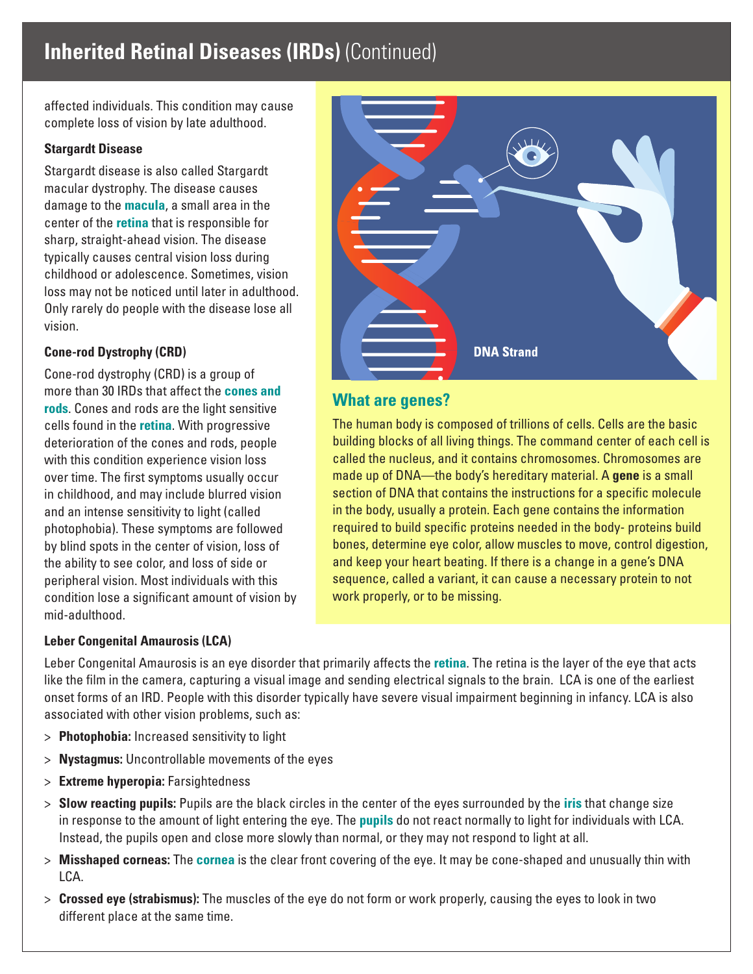# **Inherited Retinal Diseases (IRDs)** (Continued)

affected individuals. This condition may cause complete loss of vision by late adulthood.

#### **Stargardt Disease**

Stargardt disease is also called Stargardt macular dystrophy. The disease causes damage to the **macula**, a small area in the center of the **retina** that is responsible for sharp, straight-ahead vision. The disease typically causes central vision loss during childhood or adolescence. Sometimes, vision loss may not be noticed until later in adulthood. Only rarely do people with the disease lose all vision.

#### **Cone-rod Dystrophy (CRD)**

Cone-rod dystrophy (CRD) is a group of more than 30 IRDs that affect the **cones and rods**. Cones and rods are the light sensitive cells found in the **retina**. With progressive deterioration of the cones and rods, people with this condition experience vision loss over time. The first symptoms usually occur in childhood, and may include blurred vision and an intense sensitivity to light (called photophobia). These symptoms are followed by blind spots in the center of vision, loss of the ability to see color, and loss of side or peripheral vision. Most individuals with this condition lose a significant amount of vision by mid-adulthood.

# **DNA Strand**

### **What are genes?**

The human body is composed of trillions of cells. Cells are the basic building blocks of all living things. The command center of each cell is called the nucleus, and it contains chromosomes. Chromosomes are made up of DNA—the body's hereditary material. A **gene** is a small section of DNA that contains the instructions for a specific molecule in the body, usually a protein. Each gene contains the information required to build specific proteins needed in the body- proteins build bones, determine eye color, allow muscles to move, control digestion, and keep your heart beating. If there is a change in a gene's DNA sequence, called a variant, it can cause a necessary protein to not work properly, or to be missing.

#### **Leber Congenital Amaurosis (LCA)**

Leber Congenital Amaurosis is an eye disorder that primarily affects the **retina**. The retina is the layer of the eye that acts like the film in the camera, capturing a visual image and sending electrical signals to the brain. LCA is one of the earliest onset forms of an IRD. People with this disorder typically have severe visual impairment beginning in infancy. LCA is also associated with other vision problems, such as:

- > **Photophobia:** Increased sensitivity to light
- > **Nystagmus:** Uncontrollable movements of the eyes
- > **Extreme hyperopia:** Farsightedness
- > **Slow reacting pupils:** Pupils are the black circles in the center of the eyes surrounded by the **iris** that change size in response to the amount of light entering the eye. The **pupils** do not react normally to light for individuals with LCA. Instead, the pupils open and close more slowly than normal, or they may not respond to light at all.
- > **Misshaped corneas:** The **cornea** is the clear front covering of the eye. It may be cone-shaped and unusually thin with LCA.
- > **Crossed eye (strabismus):** The muscles of the eye do not form or work properly, causing the eyes to look in two different place at the same time.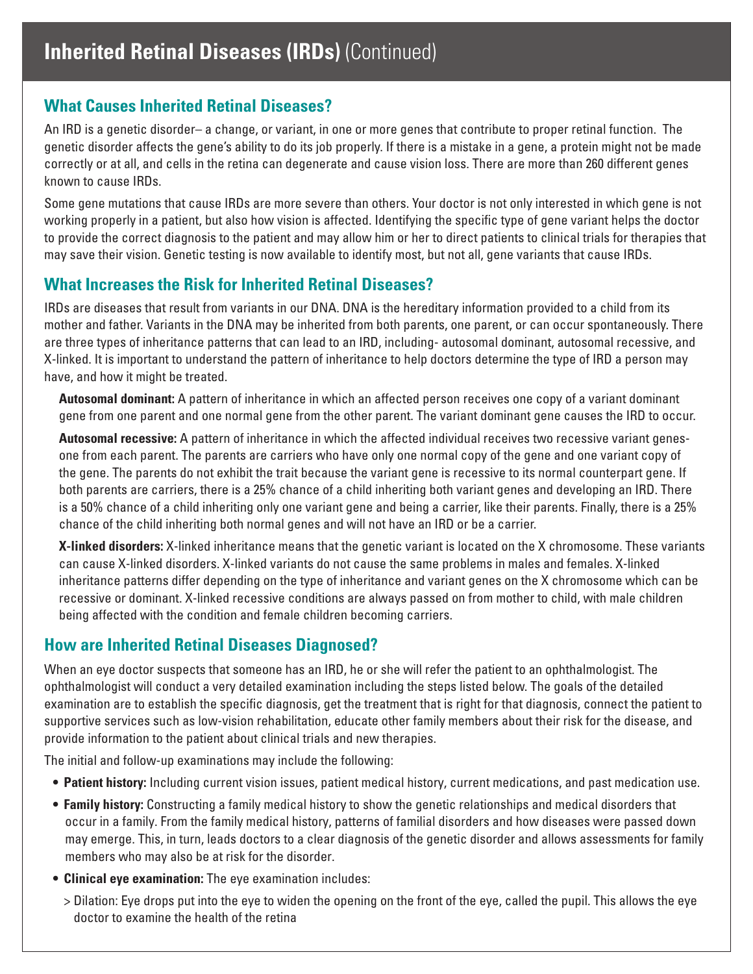# **What Causes Inherited Retinal Diseases?**

An IRD is a genetic disorder– a change, or variant, in one or more genes that contribute to proper retinal function. The genetic disorder affects the gene's ability to do its job properly. If there is a mistake in a gene, a protein might not be made correctly or at all, and cells in the retina can degenerate and cause vision loss. There are more than 260 different genes known to cause IRDs.

Some gene mutations that cause IRDs are more severe than others. Your doctor is not only interested in which gene is not working properly in a patient, but also how vision is affected. Identifying the specific type of gene variant helps the doctor to provide the correct diagnosis to the patient and may allow him or her to direct patients to clinical trials for therapies that may save their vision. Genetic testing is now available to identify most, but not all, gene variants that cause IRDs.

# **What Increases the Risk for Inherited Retinal Diseases?**

IRDs are diseases that result from variants in our DNA. DNA is the hereditary information provided to a child from its mother and father. Variants in the DNA may be inherited from both parents, one parent, or can occur spontaneously. There are three types of inheritance patterns that can lead to an IRD, including- autosomal dominant, autosomal recessive, and X-linked. It is important to understand the pattern of inheritance to help doctors determine the type of IRD a person may have, and how it might be treated.

**Autosomal dominant:** A pattern of inheritance in which an affected person receives one copy of a variant dominant gene from one parent and one normal gene from the other parent. The variant dominant gene causes the IRD to occur.

**Autosomal recessive:** A pattern of inheritance in which the affected individual receives two recessive variant genesone from each parent. The parents are carriers who have only one normal copy of the gene and one variant copy of the gene. The parents do not exhibit the trait because the variant gene is recessive to its normal counterpart gene. If both parents are carriers, there is a 25% chance of a child inheriting both variant genes and developing an IRD. There is a 50% chance of a child inheriting only one variant gene and being a carrier, like their parents. Finally, there is a 25% chance of the child inheriting both normal genes and will not have an IRD or be a carrier.

**X-linked disorders:** X-linked inheritance means that the genetic variant is located on the X chromosome. These variants can cause X-linked disorders. X-linked variants do not cause the same problems in males and females. X-linked inheritance patterns differ depending on the type of inheritance and variant genes on the X chromosome which can be recessive or dominant. X-linked recessive conditions are always passed on from mother to child, with male children being affected with the condition and female children becoming carriers.

## **How are Inherited Retinal Diseases Diagnosed?**

When an eye doctor suspects that someone has an IRD, he or she will refer the patient to an ophthalmologist. The ophthalmologist will conduct a very detailed examination including the steps listed below. The goals of the detailed examination are to establish the specific diagnosis, get the treatment that is right for that diagnosis, connect the patient to supportive services such as low-vision rehabilitation, educate other family members about their risk for the disease, and provide information to the patient about clinical trials and new therapies.

The initial and follow-up examinations may include the following:

- **• Patient history:** Including current vision issues, patient medical history, current medications, and past medication use.
- **• Family history:** Constructing a family medical history to show the genetic relationships and medical disorders that occur in a family. From the family medical history, patterns of familial disorders and how diseases were passed down may emerge. This, in turn, leads doctors to a clear diagnosis of the genetic disorder and allows assessments for family members who may also be at risk for the disorder.
- **• Clinical eye examination:** The eye examination includes:
	- > Dilation: Eye drops put into the eye to widen the opening on the front of the eye, called the pupil. This allows the eye doctor to examine the health of the retina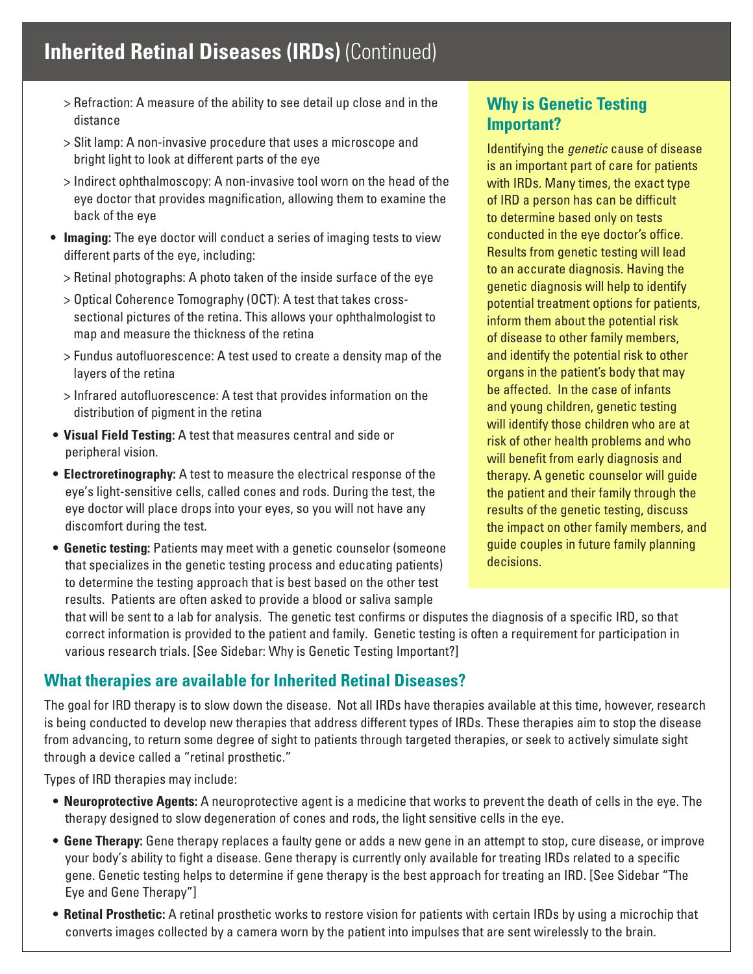- > Refraction: A measure of the ability to see detail up close and in the distance
- > Slit lamp: A non-invasive procedure that uses a microscope and bright light to look at different parts of the eye
- > Indirect ophthalmoscopy: A non-invasive tool worn on the head of the eye doctor that provides magnification, allowing them to examine the back of the eye
- **• Imaging:** The eye doctor will conduct a series of imaging tests to view different parts of the eye, including:
	- > Retinal photographs: A photo taken of the inside surface of the eye
	- > Optical Coherence Tomography (OCT): A test that takes crosssectional pictures of the retina. This allows your ophthalmologist to map and measure the thickness of the retina
	- > Fundus autofluorescence: A test used to create a density map of the layers of the retina
	- > Infrared autofluorescence: A test that provides information on the distribution of pigment in the retina
- **• Visual Field Testing:** A test that measures central and side or peripheral vision.
- **• Electroretinography:** A test to measure the electrical response of the eye's light-sensitive cells, called cones and rods. During the test, the eye doctor will place drops into your eyes, so you will not have any discomfort during the test.
- **• Genetic testing:** Patients may meet with a genetic counselor (someone that specializes in the genetic testing process and educating patients) to determine the testing approach that is best based on the other test results. Patients are often asked to provide a blood or saliva sample

# **Why is Genetic Testing Important?**

Identifying the *genetic* cause of disease is an important part of care for patients with IRDs. Many times, the exact type of IRD a person has can be difficult to determine based only on tests conducted in the eye doctor's office. Results from genetic testing will lead to an accurate diagnosis. Having the genetic diagnosis will help to identify potential treatment options for patients, inform them about the potential risk of disease to other family members, and identify the potential risk to other organs in the patient's body that may be affected. In the case of infants and young children, genetic testing will identify those children who are at risk of other health problems and who will benefit from early diagnosis and therapy. A genetic counselor will guide the patient and their family through the results of the genetic testing, discuss the impact on other family members, and guide couples in future family planning decisions.

that will be sent to a lab for analysis. The genetic test confirms or disputes the diagnosis of a specific IRD, so that correct information is provided to the patient and family. Genetic testing is often a requirement for participation in various research trials. [See Sidebar: Why is Genetic Testing Important?]

# **What therapies are available for Inherited Retinal Diseases?**

The goal for IRD therapy is to slow down the disease. Not all IRDs have therapies available at this time, however, research is being conducted to develop new therapies that address different types of IRDs. These therapies aim to stop the disease from advancing, to return some degree of sight to patients through targeted therapies, or seek to actively simulate sight through a device called a "retinal prosthetic."

Types of IRD therapies may include:

- **• Neuroprotective Agents:** A neuroprotective agent is a medicine that works to prevent the death of cells in the eye. The therapy designed to slow degeneration of cones and rods, the light sensitive cells in the eye.
- **• Gene Therapy:** Gene therapy replaces a faulty gene or adds a new gene in an attempt to stop, cure disease, or improve your body's ability to fight a disease. Gene therapy is currently only available for treating IRDs related to a specific gene. Genetic testing helps to determine if gene therapy is the best approach for treating an IRD. [See Sidebar "The Eye and Gene Therapy"]
- **• Retinal Prosthetic:** A retinal prosthetic works to restore vision for patients with certain IRDs by using a microchip that converts images collected by a camera worn by the patient into impulses that are sent wirelessly to the brain.